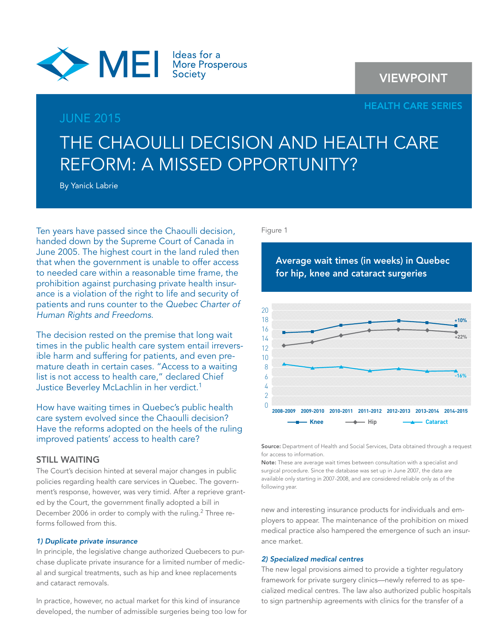

# **VIEWPOINT**

# **HEALTH CARE SERIES**

# JUNE 2015

# THE CHAOULLI DECISION AND HEALTH CARE REFORM: A MISSED OPPORTUNITY?

By Yanick Labrie

Ten years have passed since the Chaoulli decision, handed down by the Supreme Court of Canada in June 2005. The highest court in the land ruled then that when the government is unable to offer access to needed care within a reasonable time frame, the prohibition against purchasing private health insurance is a violation of the right to life and security of patients and runs counter to the Quebec Charter of Human Rights and Freedoms.

The decision rested on the premise that long wait times in the public health care system entail irreversible harm and suffering for patients, and even premature death in certain cases. "Access to a waiting list is not access to health care," declared Chief Justice Beverley McLachlin in her verdict.<sup>1</sup>

How have waiting times in Quebec's public health care system evolved since the Chaoulli decision? Have the reforms adopted on the heels of the ruling improved patients' access to health care?

## **STILL WAITING**

The Court's decision hinted at several major changes in public policies regarding health care services in Quebec. The government's response, however, was very timid. After a reprieve granted by the Court, the government finally adopted a bill in December 2006 in order to comply with the ruling.<sup>2</sup> Three reforms followed from this.

## *1) Duplicate private insurance*

In principle, the legislative change authorized Quebecers to purchase duplicate private insurance for a limited number of medical and surgical treatments, such as hip and knee replacements and cataract removals.

In practice, however, no actual market for this kind of insurance developed, the number of admissible surgeries being too low for

#### Figure 1

**Average wait times (in weeks) in Quebec for hip, knee and cataract surgeries**



**Source:** Department of Health and Social Services, Data obtained through a request for access to information.

**Note:** These are average wait times between consultation with a specialist and surgical procedure. Since the database was set up in June 2007, the data are available only starting in 2007-2008, and are considered reliable only as of the following year.

new and interesting insurance products for individuals and employers to appear. The maintenance of the prohibition on mixed medical practice also hampered the emergence of such an insurance market.

# *2) Specialized medical centres*

The new legal provisions aimed to provide a tighter regulatory framework for private surgery clinics—newly referred to as specialized medical centres. The law also authorized public hospitals to sign partnership agreements with clinics for the transfer of a